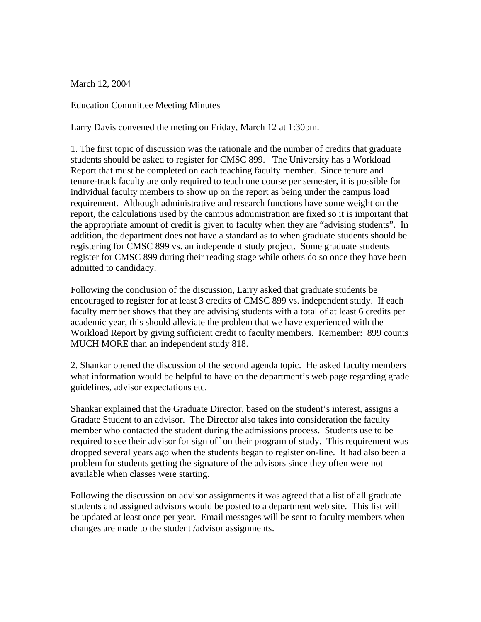March 12, 2004

Education Committee Meeting Minutes

Larry Davis convened the meting on Friday, March 12 at 1:30pm.

1. The first topic of discussion was the rationale and the number of credits that graduate students should be asked to register for CMSC 899. The University has a Workload Report that must be completed on each teaching faculty member. Since tenure and tenure-track faculty are only required to teach one course per semester, it is possible for individual faculty members to show up on the report as being under the campus load requirement. Although administrative and research functions have some weight on the report, the calculations used by the campus administration are fixed so it is important that the appropriate amount of credit is given to faculty when they are "advising students". In addition, the department does not have a standard as to when graduate students should be registering for CMSC 899 vs. an independent study project. Some graduate students register for CMSC 899 during their reading stage while others do so once they have been admitted to candidacy.

Following the conclusion of the discussion, Larry asked that graduate students be encouraged to register for at least 3 credits of CMSC 899 vs. independent study. If each faculty member shows that they are advising students with a total of at least 6 credits per academic year, this should alleviate the problem that we have experienced with the Workload Report by giving sufficient credit to faculty members. Remember: 899 counts MUCH MORE than an independent study 818.

2. Shankar opened the discussion of the second agenda topic. He asked faculty members what information would be helpful to have on the department's web page regarding grade guidelines, advisor expectations etc.

Shankar explained that the Graduate Director, based on the student's interest, assigns a Gradate Student to an advisor. The Director also takes into consideration the faculty member who contacted the student during the admissions process. Students use to be required to see their advisor for sign off on their program of study. This requirement was dropped several years ago when the students began to register on-line. It had also been a problem for students getting the signature of the advisors since they often were not available when classes were starting.

Following the discussion on advisor assignments it was agreed that a list of all graduate students and assigned advisors would be posted to a department web site. This list will be updated at least once per year. Email messages will be sent to faculty members when changes are made to the student /advisor assignments.